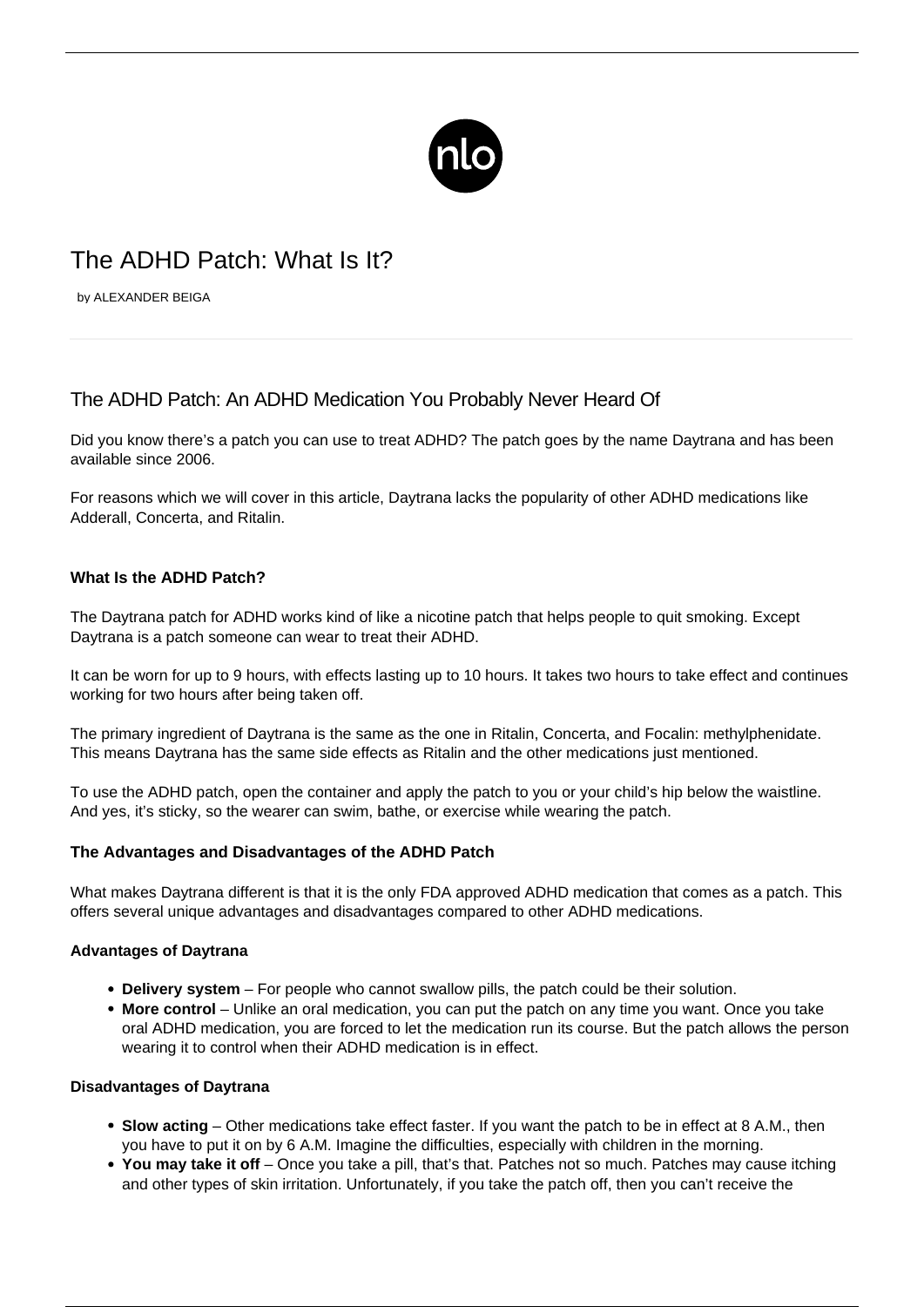

# The ADHD Patch: What Is It?

by ALEXANDER BEIGA

## The ADHD Patch: An ADHD Medication You Probably Never Heard Of

Did you know there's a patch you can use to treat ADHD? The patch goes by the name Daytrana and has been available since 2006.

For reasons which we will cover in this article, Daytrana lacks the popularity of other [ADHD medications](/adhd-medication/) like Adderall, Concerta, and Ritalin.

### **What Is the ADHD Patch?**

The Daytrana patch for ADHD works kind of like a nicotine patch that helps people to quit smoking. Except Daytrana is a patch someone can wear to treat their ADHD.

It can be worn for up to 9 hours, with effects lasting up to 10 hours. It takes two hours to take effect and continues working for two hours after being taken off.

The primary ingredient of Daytrana is the same as the one in Ritalin, Concerta, and Focalin: methylphenidate. This means Daytrana has the same side effects as Ritalin and the other medications just mentioned.

To use the ADHD patch, open the container and apply the patch to you or your child's hip below the waistline. And yes, it's sticky, so the wearer can swim, bathe, or exercise while wearing the patch.

#### **The Advantages and Disadvantages of the ADHD Patch**

What makes Daytrana different is that it is the only FDA approved ADHD medication that comes as a patch. This offers several unique advantages and disadvantages compared to other ADHD medications.

#### **Advantages of Daytrana**

- **Delivery system** For people who cannot swallow pills, the patch could be their solution.
- **More control** Unlike an oral medication, you can put the patch on any time you want. Once you take oral ADHD medication, you are forced to let the medication run its course. But the patch allows the person wearing it to control when their ADHD medication is in effect.

#### **Disadvantages of Daytrana**

- **Slow acting** Other medications take effect faster. If you want the patch to be in effect at 8 A.M., then you have to put it on by 6 A.M. Imagine the difficulties, especially with children in the morning.
- **You may take it off** Once you take a pill, that's that. Patches not so much. Patches may cause itching and other types of skin irritation. Unfortunately, if you take the patch off, then you can't receive the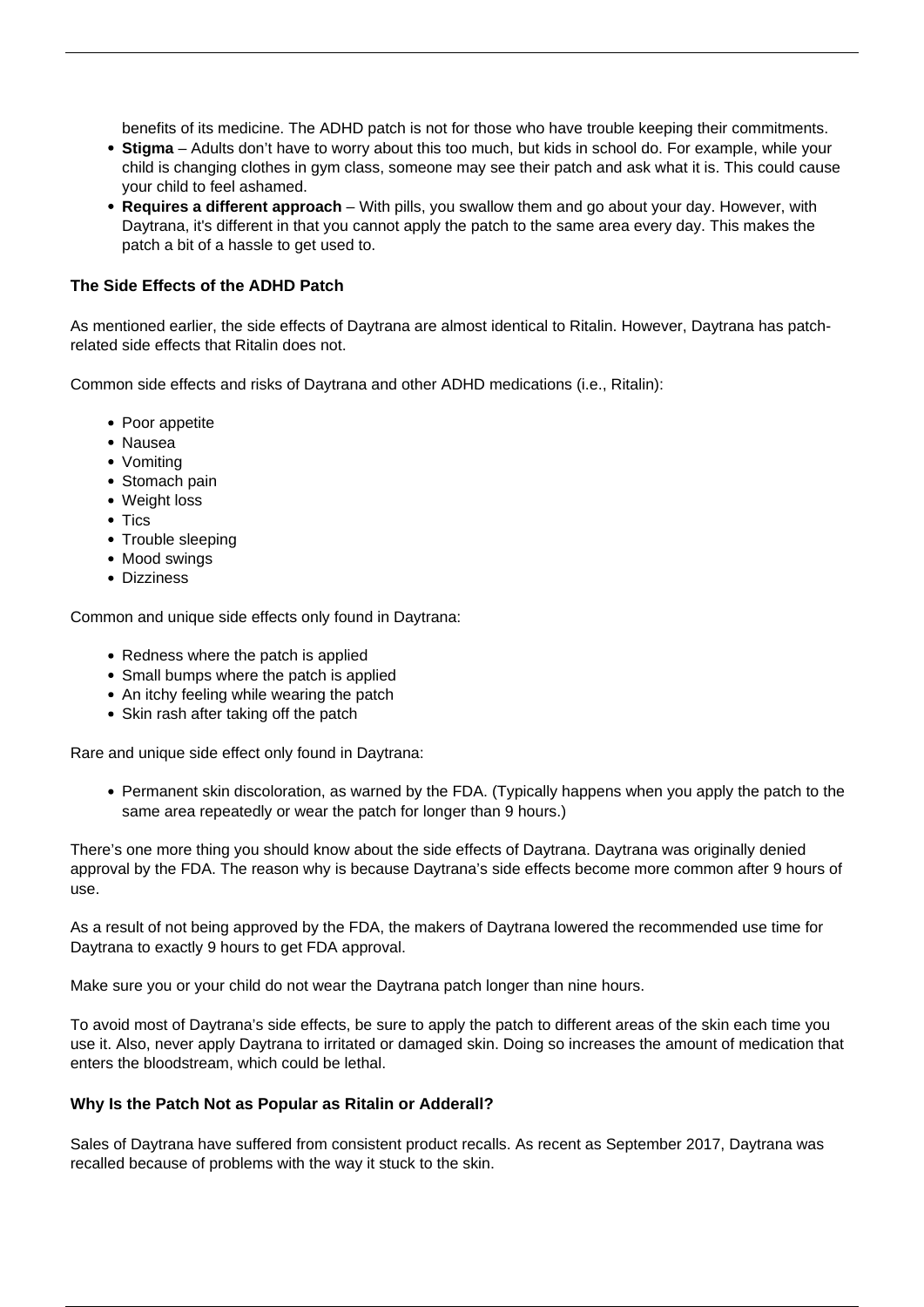benefits of its medicine. The ADHD patch is not for those who have trouble keeping their commitments.

- **Stigma** Adults don't have to worry about this too much, but kids in school do. For example, while your child is changing clothes in gym class, someone may see their patch and ask what it is. This could cause your child to feel ashamed.
- **Requires a different approach** With pills, you swallow them and go about your day. However, with Daytrana, it's different in that you cannot apply the patch to the same area every day. This makes the patch a bit of a hassle to get used to.

#### **The Side Effects of the ADHD Patch**

As mentioned earlier, the side effects of Daytrana are almost identical to Ritalin. However, Daytrana has patchrelated side effects that Ritalin does not.

Common side effects and risks of Daytrana and other ADHD medications (i.e., Ritalin):

- Poor appetite
- Nausea
- Vomiting
- Stomach pain
- Weight loss
- Tics
- Trouble sleeping
- Mood swings
- Dizziness

Common and unique side effects only found in Daytrana:

- Redness where the patch is applied
- Small bumps where the patch is applied
- An itchy feeling while wearing the patch
- Skin rash after taking off the patch

Rare and unique side effect only found in Daytrana:

Permanent skin discoloration, as warned by the FDA. (Typically happens when you apply the patch to the same area repeatedly or wear the patch for longer than 9 hours.)

There's one more thing you should know about the side effects of Daytrana. Daytrana was originally denied approval by the FDA. The reason why is because Daytrana's side effects become more common after 9 hours of use.

As a result of not being approved by the FDA, the makers of Daytrana lowered the recommended use time for Daytrana to exactly 9 hours to get FDA approval.

Make sure you or your child do not wear the Daytrana patch longer than nine hours.

To avoid most of Daytrana's side effects, be sure to apply the patch to different areas of the skin each time you use it. Also, never apply Daytrana to irritated or damaged skin. Doing so increases the amount of medication that enters the bloodstream, which could be lethal.

#### **Why Is the Patch Not as Popular as Ritalin or Adderall?**

Sales of Daytrana have suffered from consistent product recalls. As recent as September 2017, Daytrana was recalled because of problems with the way it stuck to the skin.